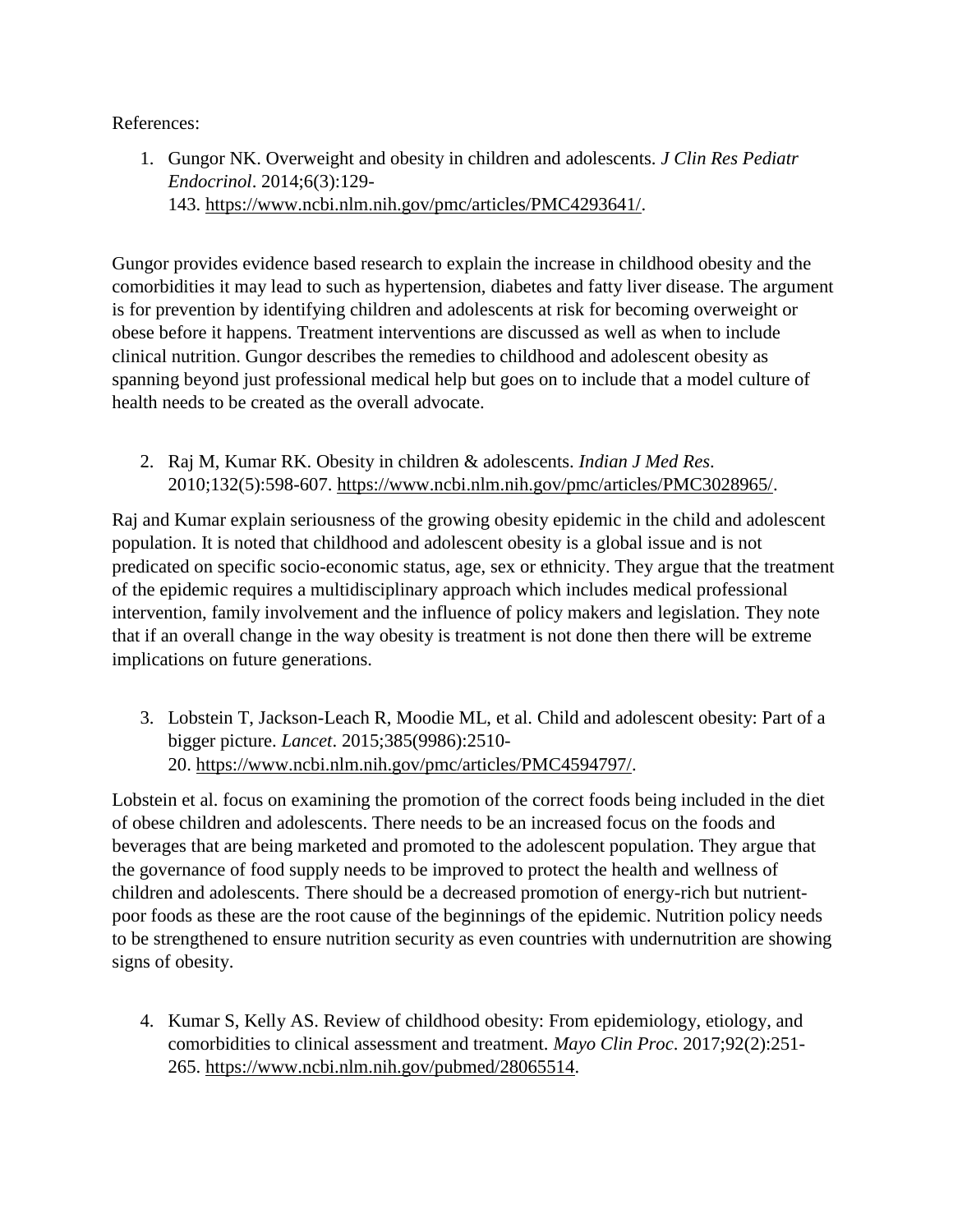References:

1. Gungor NK. Overweight and obesity in children and adolescents. *J Clin Res Pediatr Endocrinol*. 2014;6(3):129- 143. [https://www.ncbi.nlm.nih.gov/pmc/articles/PMC4293641/.](https://www.ncbi.nlm.nih.gov/pmc/articles/PMC4293641/)

Gungor provides evidence based research to explain the increase in childhood obesity and the comorbidities it may lead to such as hypertension, diabetes and fatty liver disease. The argument is for prevention by identifying children and adolescents at risk for becoming overweight or obese before it happens. Treatment interventions are discussed as well as when to include clinical nutrition. Gungor describes the remedies to childhood and adolescent obesity as spanning beyond just professional medical help but goes on to include that a model culture of health needs to be created as the overall advocate.

2. Raj M, Kumar RK. Obesity in children & adolescents. *Indian J Med Res*. 2010;132(5):598-607. [https://www.ncbi.nlm.nih.gov/pmc/articles/PMC3028965/.](https://www.ncbi.nlm.nih.gov/pmc/articles/PMC3028965/)

Raj and Kumar explain seriousness of the growing obesity epidemic in the child and adolescent population. It is noted that childhood and adolescent obesity is a global issue and is not predicated on specific socio-economic status, age, sex or ethnicity. They argue that the treatment of the epidemic requires a multidisciplinary approach which includes medical professional intervention, family involvement and the influence of policy makers and legislation. They note that if an overall change in the way obesity is treatment is not done then there will be extreme implications on future generations.

3. Lobstein T, Jackson-Leach R, Moodie ML, et al. Child and adolescent obesity: Part of a bigger picture. *Lancet*. 2015;385(9986):2510- 20. [https://www.ncbi.nlm.nih.gov/pmc/articles/PMC4594797/.](https://www.ncbi.nlm.nih.gov/pmc/articles/PMC4594797/)

Lobstein et al. focus on examining the promotion of the correct foods being included in the diet of obese children and adolescents. There needs to be an increased focus on the foods and beverages that are being marketed and promoted to the adolescent population. They argue that the governance of food supply needs to be improved to protect the health and wellness of children and adolescents. There should be a decreased promotion of energy-rich but nutrientpoor foods as these are the root cause of the beginnings of the epidemic. Nutrition policy needs to be strengthened to ensure nutrition security as even countries with undernutrition are showing signs of obesity.

4. Kumar S, Kelly AS. Review of childhood obesity: From epidemiology, etiology, and comorbidities to clinical assessment and treatment. *Mayo Clin Proc*. 2017;92(2):251- 265. [https://www.ncbi.nlm.nih.gov/pubmed/28065514.](https://www.ncbi.nlm.nih.gov/pubmed/28065514)